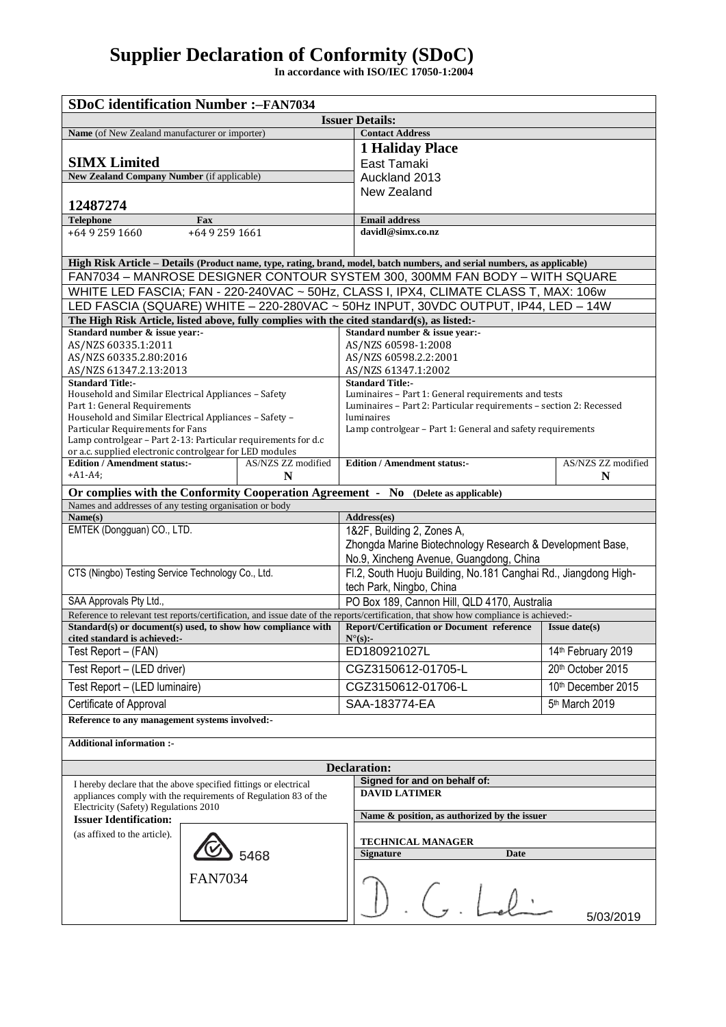## **Supplier Declaration of Conformity (SDoC)**

**In accordance with ISO/IEC 17050-1:2004**

| <b>SDoC</b> identification Number :-FAN7034                                                                                                                                                             |                                                                    |                      |
|---------------------------------------------------------------------------------------------------------------------------------------------------------------------------------------------------------|--------------------------------------------------------------------|----------------------|
| <b>Issuer Details:</b>                                                                                                                                                                                  |                                                                    |                      |
| Name (of New Zealand manufacturer or importer)                                                                                                                                                          | <b>Contact Address</b>                                             |                      |
|                                                                                                                                                                                                         | <b>1 Haliday Place</b>                                             |                      |
| <b>SIMX Limited</b>                                                                                                                                                                                     | East Tamaki                                                        |                      |
| New Zealand Company Number (if applicable)                                                                                                                                                              | Auckland 2013                                                      |                      |
|                                                                                                                                                                                                         | New Zealand                                                        |                      |
| 12487274                                                                                                                                                                                                |                                                                    |                      |
| <b>Telephone</b><br>Fax<br>+64 9 259 1660<br>+64 9 259 1661                                                                                                                                             | <b>Email address</b><br>davidl@simx.co.nz                          |                      |
|                                                                                                                                                                                                         |                                                                    |                      |
|                                                                                                                                                                                                         |                                                                    |                      |
| High Risk Article - Details (Product name, type, rating, brand, model, batch numbers, and serial numbers, as applicable)<br>FAN7034 - MANROSE DESIGNER CONTOUR SYSTEM 300, 300MM FAN BODY - WITH SQUARE |                                                                    |                      |
| WHITE LED FASCIA; FAN - 220-240VAC ~ 50Hz, CLASS I, IPX4, CLIMATE CLASS T, MAX: 106w                                                                                                                    |                                                                    |                      |
| LED FASCIA (SQUARE) WHITE - 220-280VAC ~ 50Hz INPUT, 30VDC OUTPUT, IP44, LED - 14W                                                                                                                      |                                                                    |                      |
| The High Risk Article, listed above, fully complies with the cited standard(s), as listed:-                                                                                                             |                                                                    |                      |
| Standard number & issue year:-<br>Standard number & issue year:-                                                                                                                                        |                                                                    |                      |
| AS/NZS 60335.1:2011                                                                                                                                                                                     | AS/NZS 60598-1:2008                                                |                      |
| AS/NZS 60335.2.80:2016                                                                                                                                                                                  | AS/NZS 60598.2.2:2001                                              |                      |
| AS/NZS 61347.2.13:2013<br><b>Standard Title:-</b>                                                                                                                                                       | AS/NZS 61347.1:2002<br><b>Standard Title:-</b>                     |                      |
| Household and Similar Electrical Appliances - Safety                                                                                                                                                    | Luminaires - Part 1: General requirements and tests                |                      |
| Part 1: General Requirements                                                                                                                                                                            | Luminaires - Part 2: Particular requirements - section 2: Recessed |                      |
| Household and Similar Electrical Appliances - Safety -                                                                                                                                                  | luminaires                                                         |                      |
| Particular Requirements for Fans<br>Lamp controlgear - Part 2-13: Particular requirements for d.c                                                                                                       | Lamp controlgear - Part 1: General and safety requirements         |                      |
| or a.c. supplied electronic controlgear for LED modules                                                                                                                                                 |                                                                    |                      |
| <b>Edition / Amendment status:-</b><br>AS/NZS ZZ modified                                                                                                                                               | <b>Edition / Amendment status:-</b>                                | AS/NZS ZZ modified   |
| $+A1-A4;$<br>N                                                                                                                                                                                          |                                                                    | N                    |
| Or complies with the Conformity Cooperation Agreement - No (Delete as applicable)                                                                                                                       |                                                                    |                      |
| Names and addresses of any testing organisation or body<br>Address(es)                                                                                                                                  |                                                                    |                      |
| Name(s)<br>EMTEK (Dongguan) CO., LTD.                                                                                                                                                                   | 1&2F, Building 2, Zones A,                                         |                      |
|                                                                                                                                                                                                         | Zhongda Marine Biotechnology Research & Development Base,          |                      |
|                                                                                                                                                                                                         | No.9, Xincheng Avenue, Guangdong, China                            |                      |
| CTS (Ningbo) Testing Service Technology Co., Ltd.                                                                                                                                                       | Fl.2, South Huoju Building, No.181 Canghai Rd., Jiangdong High-    |                      |
|                                                                                                                                                                                                         | tech Park, Ningbo, China                                           |                      |
| SAA Approvals Pty Ltd.,                                                                                                                                                                                 | PO Box 189, Cannon Hill, QLD 4170, Australia                       |                      |
| Reference to relevant test reports/certification, and issue date of the reports/certification, that show how compliance is achieved:-                                                                   |                                                                    |                      |
| Standard(s) or document(s) used, to show how compliance with                                                                                                                                            | <b>Report/Certification or Document reference</b>                  | <b>Issue date(s)</b> |
| cited standard is achieved:-<br>Test Report - (FAN)                                                                                                                                                     | $N^{\circ}(s)$ :-<br>ED180921027L                                  | 14th February 2019   |
|                                                                                                                                                                                                         |                                                                    |                      |
| Test Report - (LED driver)                                                                                                                                                                              | CGZ3150612-01705-L                                                 | 20th October 2015    |
| Test Report - (LED luminaire)                                                                                                                                                                           | CGZ3150612-01706-L                                                 | 10th December 2015   |
| Certificate of Approval                                                                                                                                                                                 | SAA-183774-EA                                                      | 5th March 2019       |
| Reference to any management systems involved:-                                                                                                                                                          |                                                                    |                      |
| <b>Additional information:-</b>                                                                                                                                                                         |                                                                    |                      |
|                                                                                                                                                                                                         |                                                                    |                      |
| <b>Declaration:</b>                                                                                                                                                                                     |                                                                    |                      |
| Signed for and on behalf of:<br>I hereby declare that the above specified fittings or electrical                                                                                                        |                                                                    |                      |
| appliances comply with the requirements of Regulation 83 of the                                                                                                                                         | <b>DAVID LATIMER</b>                                               |                      |
| Electricity (Safety) Regulations 2010                                                                                                                                                                   | Name & position, as authorized by the issuer                       |                      |
| <b>Issuer Identification:</b>                                                                                                                                                                           |                                                                    |                      |
| (as affixed to the article).                                                                                                                                                                            | <b>TECHNICAL MANAGER</b>                                           |                      |
| 5468                                                                                                                                                                                                    | <b>Signature</b><br>Date                                           |                      |
| <b>FAN7034</b>                                                                                                                                                                                          |                                                                    |                      |
|                                                                                                                                                                                                         |                                                                    |                      |
|                                                                                                                                                                                                         |                                                                    |                      |
|                                                                                                                                                                                                         |                                                                    | 5/03/2019            |